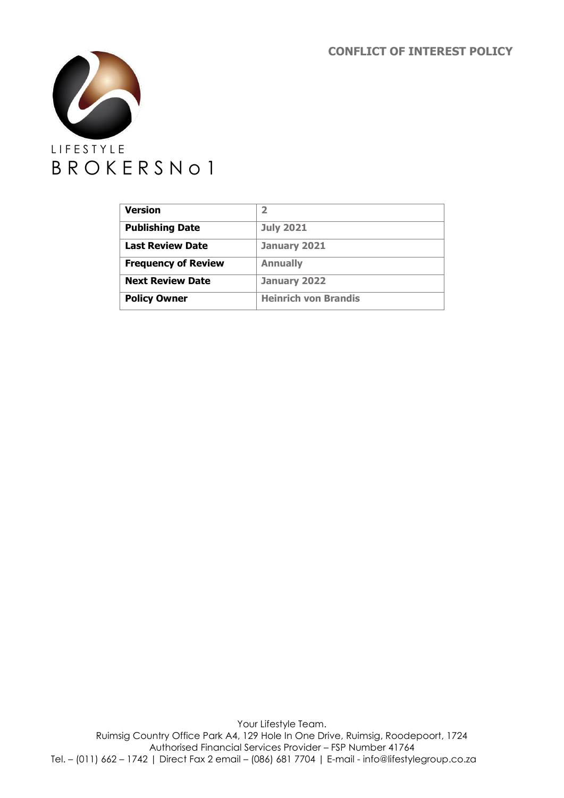**CONFLICT OF INTEREST POLICY**



| <b>Version</b>             | 2                           |
|----------------------------|-----------------------------|
| <b>Publishing Date</b>     | <b>July 2021</b>            |
| <b>Last Review Date</b>    | January 2021                |
| <b>Frequency of Review</b> | <b>Annually</b>             |
| <b>Next Review Date</b>    | January 2022                |
| <b>Policy Owner</b>        | <b>Heinrich von Brandis</b> |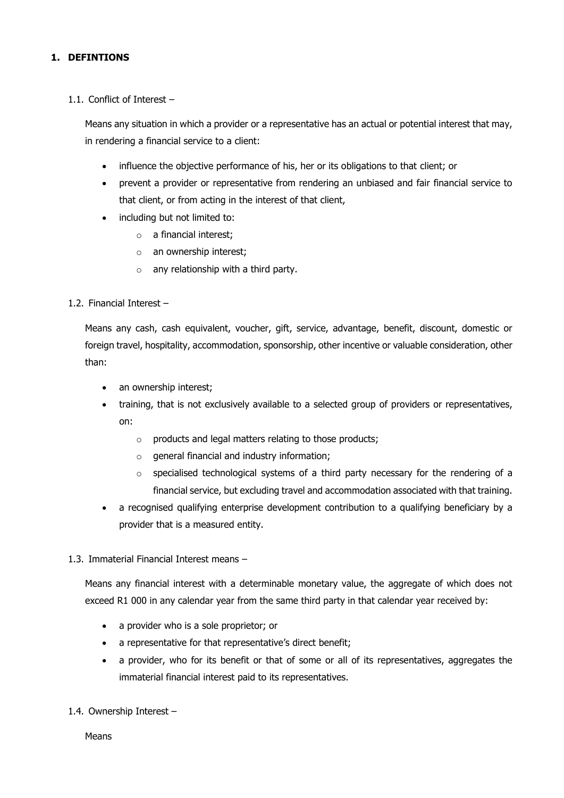## **1. DEFINTIONS**

#### 1.1. Conflict of Interest –

Means any situation in which a provider or a representative has an actual or potential interest that may, in rendering a financial service to a client:

- influence the objective performance of his, her or its obligations to that client; or
- prevent a provider or representative from rendering an unbiased and fair financial service to that client, or from acting in the interest of that client,
- including but not limited to:
	- o a financial interest;
	- o an ownership interest;
	- $\circ$  any relationship with a third party.
- 1.2. Financial Interest –

Means any cash, cash equivalent, voucher, gift, service, advantage, benefit, discount, domestic or foreign travel, hospitality, accommodation, sponsorship, other incentive or valuable consideration, other than:

- an ownership interest;
- training, that is not exclusively available to a selected group of providers or representatives, on:
	- o products and legal matters relating to those products;
	- o general financial and industry information;
	- o specialised technological systems of a third party necessary for the rendering of a financial service, but excluding travel and accommodation associated with that training.
- a recognised qualifying enterprise development contribution to a qualifying beneficiary by a provider that is a measured entity.

#### 1.3. Immaterial Financial Interest means –

Means any financial interest with a determinable monetary value, the aggregate of which does not exceed R1 000 in any calendar year from the same third party in that calendar year received by:

- a provider who is a sole proprietor; or
- a representative for that representative's direct benefit;
- a provider, who for its benefit or that of some or all of its representatives, aggregates the immaterial financial interest paid to its representatives.
- 1.4. Ownership Interest –

Means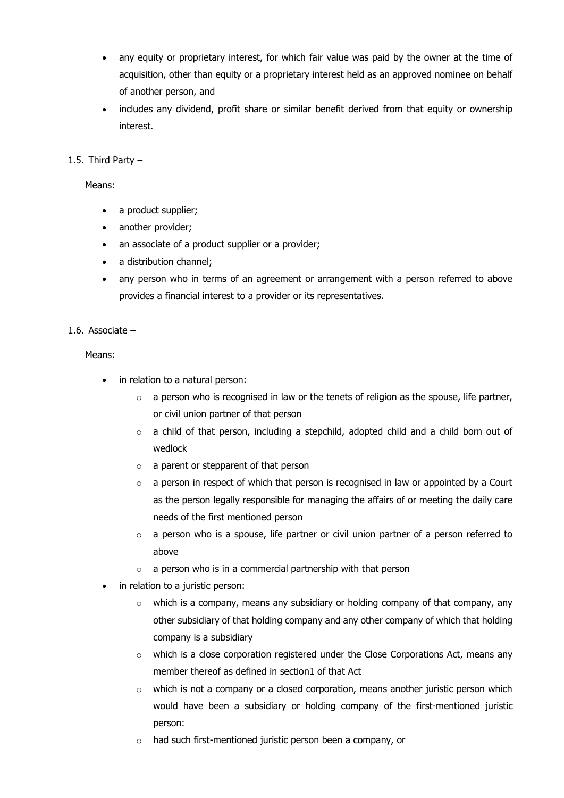- any equity or proprietary interest, for which fair value was paid by the owner at the time of acquisition, other than equity or a proprietary interest held as an approved nominee on behalf of another person, and
- includes any dividend, profit share or similar benefit derived from that equity or ownership interest.
- 1.5. Third Party –

Means:

- a product supplier;
- another provider;
- an associate of a product supplier or a provider;
- a distribution channel;
- any person who in terms of an agreement or arrangement with a person referred to above provides a financial interest to a provider or its representatives.

#### 1.6. Associate –

Means:

- in relation to a natural person:
	- $\circ$  a person who is recognised in law or the tenets of religion as the spouse, life partner, or civil union partner of that person
	- $\circ$  a child of that person, including a stepchild, adopted child and a child born out of wedlock
	- $\circ$  a parent or stepparent of that person
	- $\circ$  a person in respect of which that person is recognised in law or appointed by a Court as the person legally responsible for managing the affairs of or meeting the daily care needs of the first mentioned person
	- $\circ$  a person who is a spouse, life partner or civil union partner of a person referred to above
	- $\circ$  a person who is in a commercial partnership with that person
- in relation to a juristic person:
	- o which is a company, means any subsidiary or holding company of that company, any other subsidiary of that holding company and any other company of which that holding company is a subsidiary
	- $\circ$  which is a close corporation registered under the Close Corporations Act, means any member thereof as defined in section1 of that Act
	- o which is not a company or a closed corporation, means another juristic person which would have been a subsidiary or holding company of the first-mentioned juristic person:
	- o had such first-mentioned juristic person been a company, or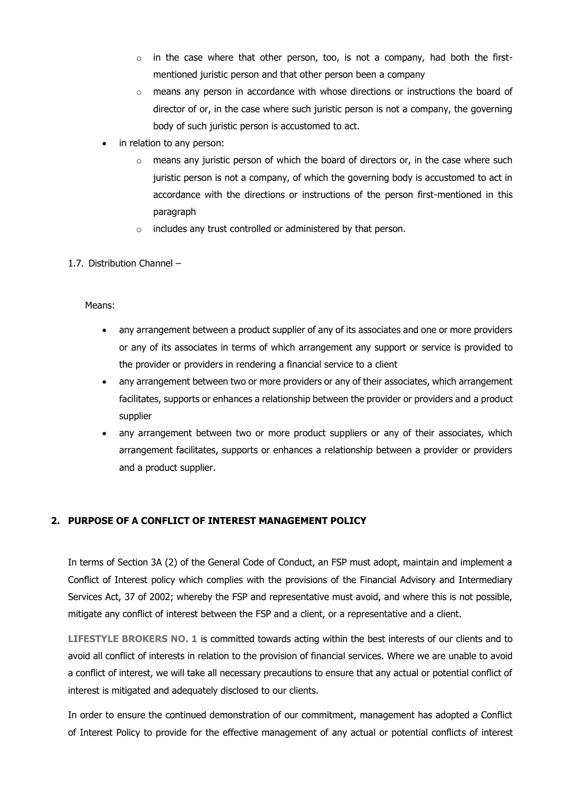- o in the case where that other person, too, is not a company, had both the firstmentioned juristic person and that other person been a company
- $\circ$  means any person in accordance with whose directions or instructions the board of director of or, in the case where such juristic person is not a company, the governing body of such juristic person is accustomed to act.
- in relation to any person:
	- $\circ$  means any juristic person of which the board of directors or, in the case where such juristic person is not a company, of which the governing body is accustomed to act in accordance with the directions or instructions of the person first-mentioned in this paragraph
	- o includes any trust controlled or administered by that person.

#### 1.7. Distribution Channel –

#### Means:

- any arrangement between a product supplier of any of its associates and one or more providers or any of its associates in terms of which arrangement any support or service is provided to the provider or providers in rendering a financial service to a client
- any arrangement between two or more providers or any of their associates, which arrangement facilitates, supports or enhances a relationship between the provider or providers and a product supplier
- any arrangement between two or more product suppliers or any of their associates, which arrangement facilitates, supports or enhances a relationship between a provider or providers and a product supplier.

## **2. PURPOSE OF A CONFLICT OF INTEREST MANAGEMENT POLICY**

In terms of Section 3A (2) of the General Code of Conduct, an FSP must adopt, maintain and implement a Conflict of Interest policy which complies with the provisions of the Financial Advisory and Intermediary Services Act, 37 of 2002; whereby the FSP and representative must avoid, and where this is not possible, mitigate any conflict of interest between the FSP and a client, or a representative and a client.

**LIFESTYLE BROKERS NO. 1** is committed towards acting within the best interests of our clients and to avoid all conflict of interests in relation to the provision of financial services. Where we are unable to avoid a conflict of interest, we will take all necessary precautions to ensure that any actual or potential conflict of interest is mitigated and adequately disclosed to our clients.

In order to ensure the continued demonstration of our commitment, management has adopted a Conflict of Interest Policy to provide for the effective management of any actual or potential conflicts of interest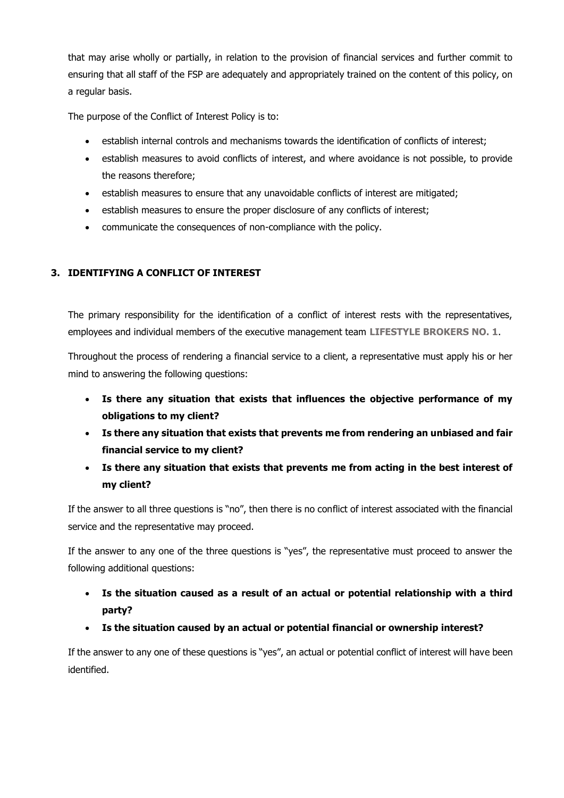that may arise wholly or partially, in relation to the provision of financial services and further commit to ensuring that all staff of the FSP are adequately and appropriately trained on the content of this policy, on a regular basis.

The purpose of the Conflict of Interest Policy is to:

- establish internal controls and mechanisms towards the identification of conflicts of interest;
- establish measures to avoid conflicts of interest, and where avoidance is not possible, to provide the reasons therefore;
- establish measures to ensure that any unavoidable conflicts of interest are mitigated;
- establish measures to ensure the proper disclosure of any conflicts of interest;
- communicate the consequences of non-compliance with the policy.

## **3. IDENTIFYING A CONFLICT OF INTEREST**

The primary responsibility for the identification of a conflict of interest rests with the representatives, employees and individual members of the executive management team **LIFESTYLE BROKERS NO. 1**.

Throughout the process of rendering a financial service to a client, a representative must apply his or her mind to answering the following questions:

- **Is there any situation that exists that influences the objective performance of my obligations to my client?**
- **Is there any situation that exists that prevents me from rendering an unbiased and fair financial service to my client?**
- **Is there any situation that exists that prevents me from acting in the best interest of my client?**

If the answer to all three questions is "no", then there is no conflict of interest associated with the financial service and the representative may proceed.

If the answer to any one of the three questions is "yes", the representative must proceed to answer the following additional questions:

- **Is the situation caused as a result of an actual or potential relationship with a third party?**
- **Is the situation caused by an actual or potential financial or ownership interest?**

If the answer to any one of these questions is "yes", an actual or potential conflict of interest will have been identified.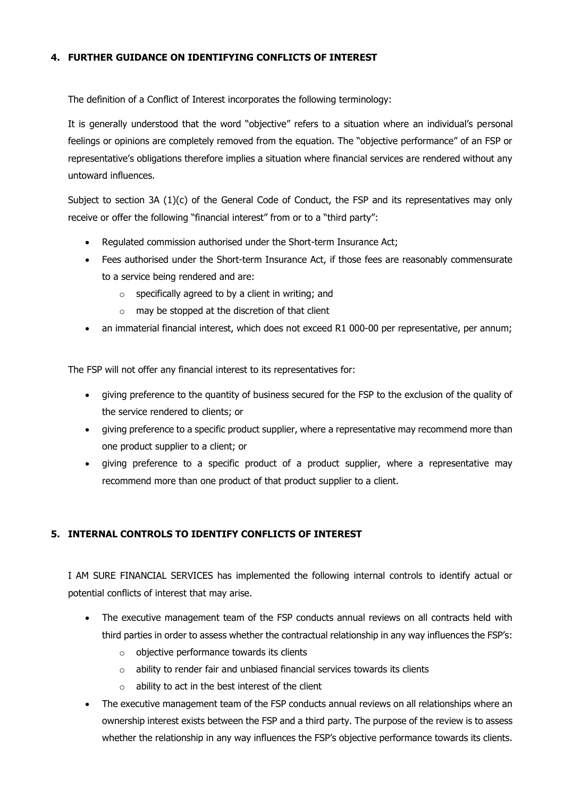## **4. FURTHER GUIDANCE ON IDENTIFYING CONFLICTS OF INTEREST**

The definition of a Conflict of Interest incorporates the following terminology:

It is generally understood that the word "objective" refers to a situation where an individual's personal feelings or opinions are completely removed from the equation. The "objective performance" of an FSP or representative's obligations therefore implies a situation where financial services are rendered without any untoward influences.

Subject to section 3A (1)(c) of the General Code of Conduct, the FSP and its representatives may only receive or offer the following "financial interest" from or to a "third party":

- Regulated commission authorised under the Short-term Insurance Act;
- Fees authorised under the Short-term Insurance Act, if those fees are reasonably commensurate to a service being rendered and are:
	- $\circ$  specifically agreed to by a client in writing; and
	- $\circ$  may be stopped at the discretion of that client
- an immaterial financial interest, which does not exceed R1 000-00 per representative, per annum;

The FSP will not offer any financial interest to its representatives for:

- giving preference to the quantity of business secured for the FSP to the exclusion of the quality of the service rendered to clients; or
- giving preference to a specific product supplier, where a representative may recommend more than one product supplier to a client; or
- giving preference to a specific product of a product supplier, where a representative may recommend more than one product of that product supplier to a client.

# **5. INTERNAL CONTROLS TO IDENTIFY CONFLICTS OF INTEREST**

I AM SURE FINANCIAL SERVICES has implemented the following internal controls to identify actual or potential conflicts of interest that may arise.

- The executive management team of the FSP conducts annual reviews on all contracts held with third parties in order to assess whether the contractual relationship in any way influences the FSP's:
	- o objective performance towards its clients
	- o ability to render fair and unbiased financial services towards its clients
	- $\circ$  ability to act in the best interest of the client
- The executive management team of the FSP conducts annual reviews on all relationships where an ownership interest exists between the FSP and a third party. The purpose of the review is to assess whether the relationship in any way influences the FSP's objective performance towards its clients.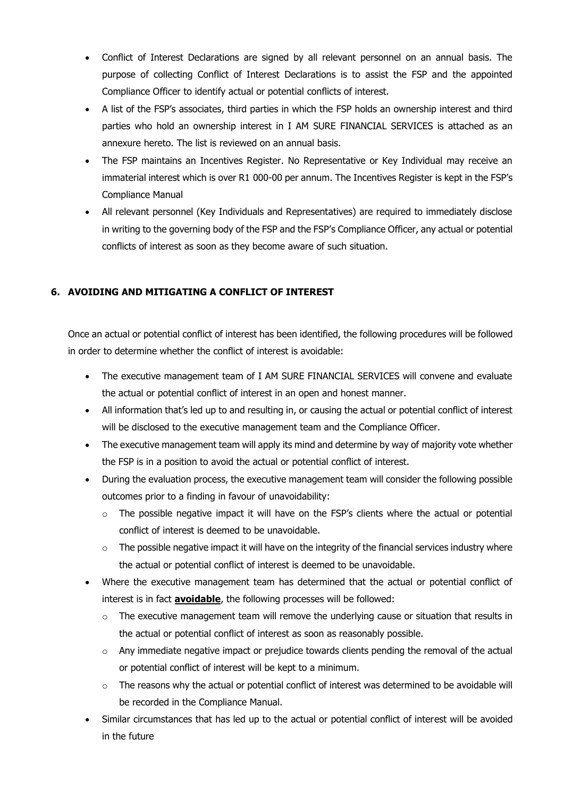- Conflict of Interest Declarations are signed by all relevant personnel on an annual basis. The purpose of collecting Conflict of Interest Declarations is to assist the FSP and the appointed Compliance Officer to identify actual or potential conflicts of interest.
- A list of the FSP's associates, third parties in which the FSP holds an ownership interest and third parties who hold an ownership interest in I AM SURE FINANCIAL SERVICES is attached as an annexure hereto. The list is reviewed on an annual basis.
- The FSP maintains an Incentives Register. No Representative or Key Individual may receive an immaterial interest which is over R1 000-00 per annum. The Incentives Register is kept in the FSP's Compliance Manual
- All relevant personnel (Key Individuals and Representatives) are required to immediately disclose in writing to the governing body of the FSP and the FSP's Compliance Officer, any actual or potential conflicts of interest as soon as they become aware of such situation.

# **6. AVOIDING AND MITIGATING A CONFLICT OF INTEREST**

Once an actual or potential conflict of interest has been identified, the following procedures will be followed in order to determine whether the conflict of interest is avoidable:

- The executive management team of I AM SURE FINANCIAL SERVICES will convene and evaluate the actual or potential conflict of interest in an open and honest manner.
- All information that's led up to and resulting in, or causing the actual or potential conflict of interest will be disclosed to the executive management team and the Compliance Officer.
- The executive management team will apply its mind and determine by way of majority vote whether the FSP is in a position to avoid the actual or potential conflict of interest.
- During the evaluation process, the executive management team will consider the following possible outcomes prior to a finding in favour of unavoidability:
	- o The possible negative impact it will have on the FSP's clients where the actual or potential conflict of interest is deemed to be unavoidable.
	- $\circ$  The possible negative impact it will have on the integrity of the financial services industry where the actual or potential conflict of interest is deemed to be unavoidable.
- Where the executive management team has determined that the actual or potential conflict of interest is in fact **avoidable**, the following processes will be followed:
	- $\circ$  The executive management team will remove the underlying cause or situation that results in the actual or potential conflict of interest as soon as reasonably possible.
	- o Any immediate negative impact or prejudice towards clients pending the removal of the actual or potential conflict of interest will be kept to a minimum.
	- o The reasons why the actual or potential conflict of interest was determined to be avoidable will be recorded in the Compliance Manual.
- Similar circumstances that has led up to the actual or potential conflict of interest will be avoided in the future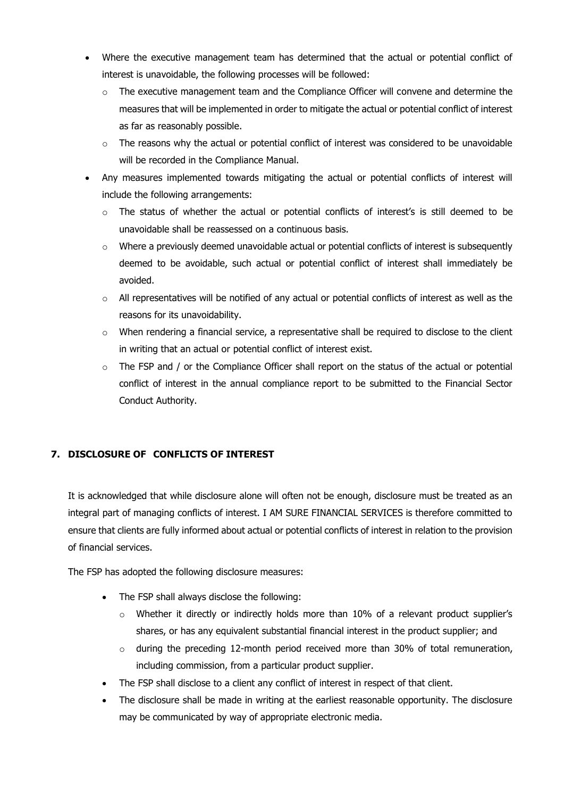- Where the executive management team has determined that the actual or potential conflict of interest is unavoidable, the following processes will be followed:
	- $\circ$  The executive management team and the Compliance Officer will convene and determine the measures that will be implemented in order to mitigate the actual or potential conflict of interest as far as reasonably possible.
	- $\circ$  The reasons why the actual or potential conflict of interest was considered to be unavoidable will be recorded in the Compliance Manual.
- Any measures implemented towards mitigating the actual or potential conflicts of interest will include the following arrangements:
	- o The status of whether the actual or potential conflicts of interest's is still deemed to be unavoidable shall be reassessed on a continuous basis.
	- $\circ$  Where a previously deemed unavoidable actual or potential conflicts of interest is subsequently deemed to be avoidable, such actual or potential conflict of interest shall immediately be avoided.
	- $\circ$  All representatives will be notified of any actual or potential conflicts of interest as well as the reasons for its unavoidability.
	- $\circ$  When rendering a financial service, a representative shall be required to disclose to the client in writing that an actual or potential conflict of interest exist.
	- o The FSP and / or the Compliance Officer shall report on the status of the actual or potential conflict of interest in the annual compliance report to be submitted to the Financial Sector Conduct Authority.

# **7. DISCLOSURE OF CONFLICTS OF INTEREST**

It is acknowledged that while disclosure alone will often not be enough, disclosure must be treated as an integral part of managing conflicts of interest. I AM SURE FINANCIAL SERVICES is therefore committed to ensure that clients are fully informed about actual or potential conflicts of interest in relation to the provision of financial services.

The FSP has adopted the following disclosure measures:

- The FSP shall always disclose the following:
	- $\circ$  Whether it directly or indirectly holds more than 10% of a relevant product supplier's shares, or has any equivalent substantial financial interest in the product supplier; and
	- $\circ$  during the preceding 12-month period received more than 30% of total remuneration, including commission, from a particular product supplier.
- The FSP shall disclose to a client any conflict of interest in respect of that client.
- The disclosure shall be made in writing at the earliest reasonable opportunity. The disclosure may be communicated by way of appropriate electronic media.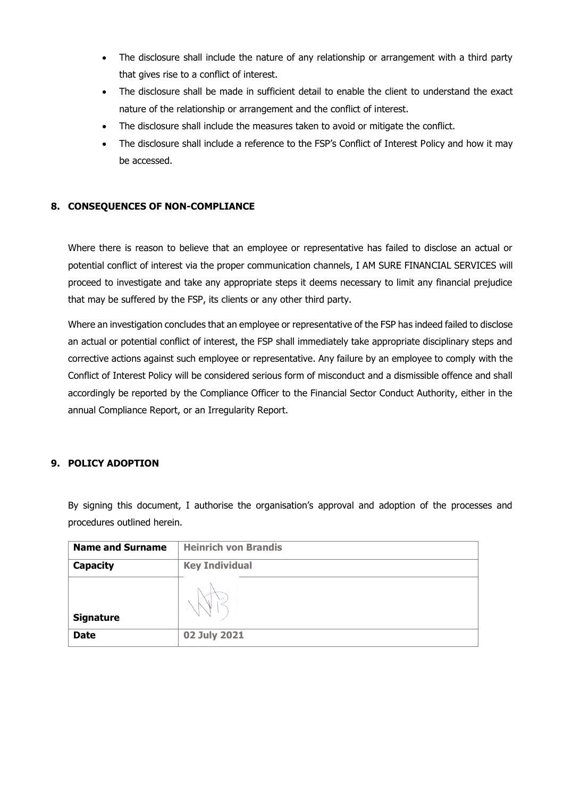- The disclosure shall include the nature of any relationship or arrangement with a third party that gives rise to a conflict of interest.
- The disclosure shall be made in sufficient detail to enable the client to understand the exact nature of the relationship or arrangement and the conflict of interest.
- The disclosure shall include the measures taken to avoid or mitigate the conflict.
- The disclosure shall include a reference to the FSP's Conflict of Interest Policy and how it may be accessed.

## **8. CONSEQUENCES OF NON-COMPLIANCE**

Where there is reason to believe that an employee or representative has failed to disclose an actual or potential conflict of interest via the proper communication channels, I AM SURE FINANCIAL SERVICES will proceed to investigate and take any appropriate steps it deems necessary to limit any financial prejudice that may be suffered by the FSP, its clients or any other third party.

Where an investigation concludes that an employee or representative of the FSP has indeed failed to disclose an actual or potential conflict of interest, the FSP shall immediately take appropriate disciplinary steps and corrective actions against such employee or representative. Any failure by an employee to comply with the Conflict of Interest Policy will be considered serious form of misconduct and a dismissible offence and shall accordingly be reported by the Compliance Officer to the Financial Sector Conduct Authority, either in the annual Compliance Report, or an Irregularity Report.

## **9. POLICY ADOPTION**

By signing this document, I authorise the organisation's approval and adoption of the processes and procedures outlined herein.

| <b>Name and Surname</b> | <b>Heinrich von Brandis</b> |
|-------------------------|-----------------------------|
| Capacity                | <b>Key Individual</b>       |
| <b>Signature</b>        |                             |
| <b>Date</b>             | 02 July 2021                |